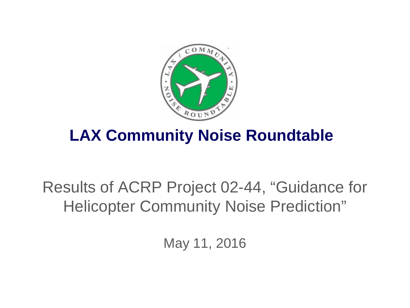

#### **LAX Community Noise Roundtable**

#### Results of ACRP Project 02-44, "Guidance for Helicopter Community Noise Prediction"

May 11, 2016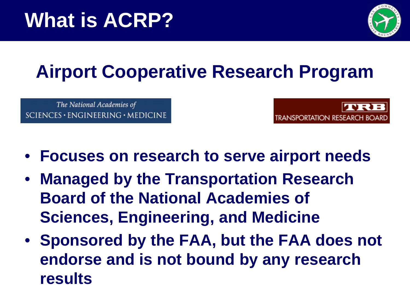

## **Airport Cooperative Research Program**

The National Academies of  $SCIENCES · ENGINEERING · MEDICINE$ 



- **Focuses on research to serve airport needs**
- **Managed by the Transportation Research Board of the National Academies of Sciences, Engineering, and Medicine**
- **Sponsored by the FAA, but the FAA does not endorse and is not bound by any research results**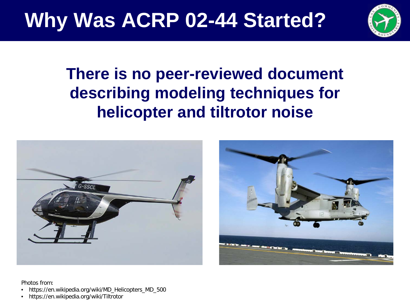

#### **There is no peer-reviewed document describing modeling techniques for helicopter and tiltrotor noise**





Photos from:

- https://en.wikipedia.org/wiki/MD\_Helicopters\_MD\_500
- https://en.wikipedia.org/wiki/Tiltrotor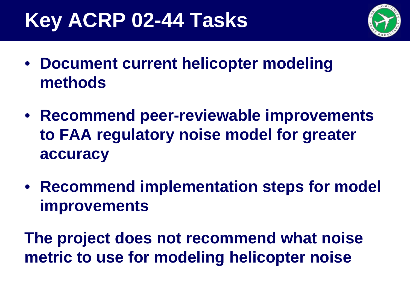### **Key ACRP 02-44 Tasks**



- **Document current helicopter modeling methods**
- **Recommend peer-reviewable improvements to FAA regulatory noise model for greater accuracy**
- **Recommend implementation steps for model improvements**

**The project does not recommend what noise metric to use for modeling helicopter noise**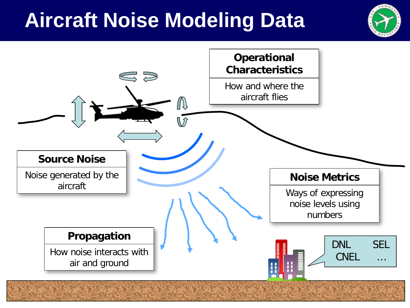## **Aircraft Noise Modeling Data**



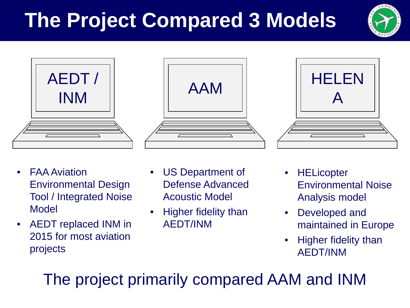# **The Project Compared 3 Models**









- FAA Aviation Environmental Design Tool / Integrated Noise Model
- AEDT replaced INM in 2015 for most aviation projects
- US Department of Defense Advanced Acoustic Model
- Higher fidelity than AEDT/INM
- **HELicopter** Environmental Noise Analysis model
- Developed and maintained in Europe
- Higher fidelity than AEDT/INM

The project primarily compared AAM and INM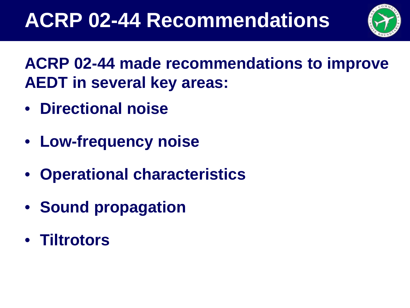

**ACRP 02-44 made recommendations to improve AEDT in several key areas:**

- **Directional noise**
- **Low-frequency noise**
- **Operational characteristics**
- **Sound propagation**
- **Tiltrotors**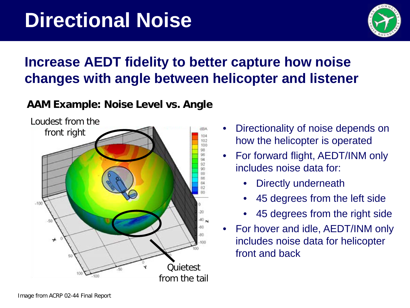

#### **Increase AEDT fidelity to better capture how noise changes with angle between helicopter and listener**

#### **AAM Example: Noise Level vs. Angle**



- Directionality of noise depends on how the helicopter is operated
- For forward flight, AEDT/INM only includes noise data for:
	- Directly underneath
	- 45 degrees from the left side
	- 45 degrees from the right side
- For hover and idle, AEDT/INM only includes noise data for helicopter front and back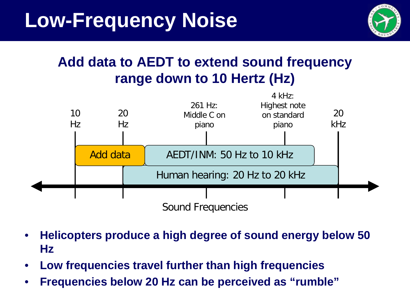

#### **Add data to AEDT to extend sound frequency range down to 10 Hertz (Hz)**



- **Helicopters produce a high degree of sound energy below 50 Hz**
- **Low frequencies travel further than high frequencies**
- **Frequencies below 20 Hz can be perceived as "rumble"**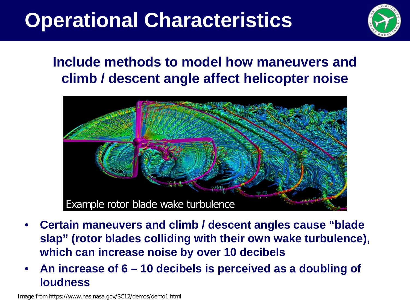## **Operational Characteristics**



#### **Include methods to model how maneuvers and climb / descent angle affect helicopter noise**



- **Certain maneuvers and climb / descent angles cause "blade slap" (rotor blades colliding with their own wake turbulence), which can increase noise by over 10 decibels**
- **An increase of 6 – 10 decibels is perceived as a doubling of loudness**

Image from https://www.nas.nasa.gov/SC12/demos/demo1.html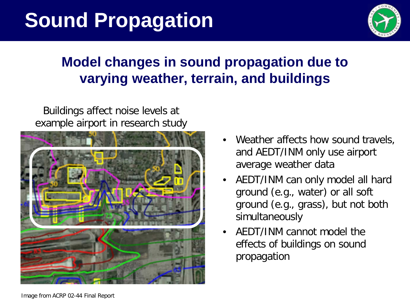## **Sound Propagation**



#### **Model changes in sound propagation due to varying weather, terrain, and buildings**

Buildings affect noise levels at example airport in research study



- Weather affects how sound travels, and AEDT/INM only use airport average weather data
- AEDT/INM can only model all hard ground (e.g., water) or all soft ground (e.g., grass), but not both simultaneously
- AEDT/INM cannot model the effects of buildings on sound propagation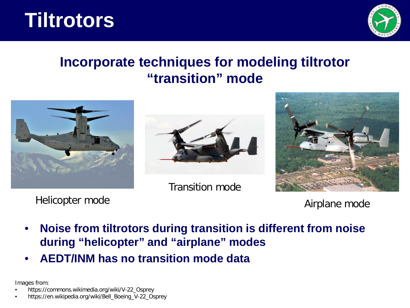### **Tiltrotors**



#### **Incorporate techniques for modeling tiltrotor "transition" mode**







Helicopter mode **Airplane mode** 

- **Noise from tiltrotors during transition is different from noise during "helicopter" and "airplane" modes**
- **AEDT/INM has no transition mode data**

Images from:

• https://commons.wikimedia.org/wiki/V-22\_Osprey

• https://en.wikipedia.org/wiki/Bell\_Boeing\_V-22\_Osprey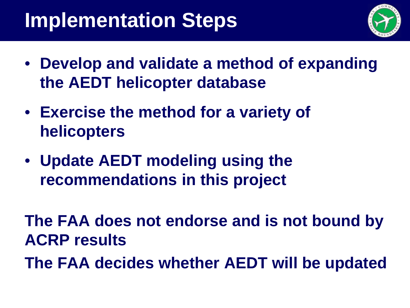## **Implementation Steps**



- **Develop and validate a method of expanding the AEDT helicopter database**
- **Exercise the method for a variety of helicopters**
- **Update AEDT modeling using the recommendations in this project**

**The FAA does not endorse and is not bound by ACRP results**

**The FAA decides whether AEDT will be updated**